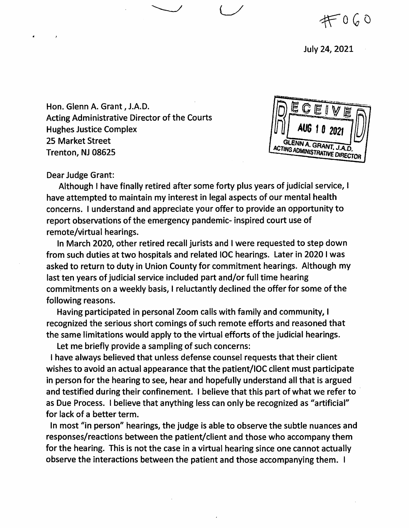$#060$ 

July 24, 2021

Hon. Glenn A. Grant, J.A.D. Acting Administrative Director of the Courts Hughes Justice Complex 25 Market Street Trenton, NJ 08625



Dear Judge Grant:

Although I have finally retired after some forty plus years of judicial service, I have attempted to maintain my interest in legal aspects of our mental health concerns. I understand and appreciate your offer to provide an opportunity to report observations of the emergency pandemic- inspired court use of remote/virtual hearings.

In March 2020, other retired recall jurists and I were requested to step down from such duties at two hospitals and related IOC hearings. Later in 2020 I was asked to return to duty in Union County for commitment hearings. Although my last ten years of judicial service included part and/or full time hearing commitments on a weekly basis, I reluctantly declined the offer for some of the following reasons.

Having participated in personal Zoom calls with family and community, I recognized the serious short comings of such remote efforts and reasoned that the same limitations would apply to the virtual efforts of the judicial hearings.

Let me briefly provide a sampling of such concerns:

I have always believed that unless defense counsel requests that their client wishes to avoid an actual appearance that the patient/lOC client must participate in person for the hearing to see, hear and hopefully understand all that is argued and testified during their confinement. I believe that this part of what we refer to as Due Process. I believe that anything less can only be recognized as "artificial" for lack of a better term.

In most "in person" hearings, the judge is able to observe the subtle nuances and responses/reactions between the patient/client and those who accompany them for the hearing. This is not the case in a virtual hearing since one cannot actually observe the interactions between the patient and those accompanying them. I